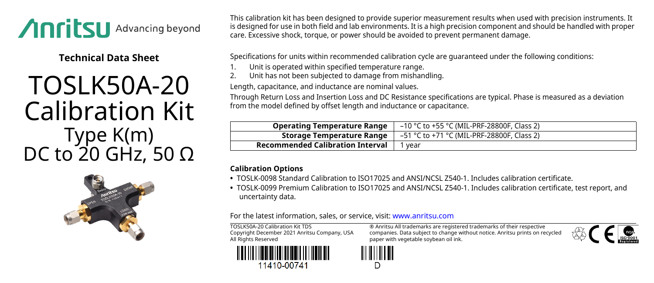

**Technical Data Sheet**

## TOSLK50A-20 Calibration Kit Type K(m) DC to 20 GHz, 50  $\Omega$



This calibration kit has been designed to provide superior measurement results when used with precision instruments. It is designed for use in both field and lab environments. It is a high precision component and should be handled with proper care. Excessive shock, torque, or power should be avoided to prevent permanent damage.

Specifications for units within recommended calibration cycle are guaranteed under the following conditions:

- Unit is operated within specified temperature range.
- 2. Unit has not been subjected to damage from mishandling.

Length, capacitance, and inductance are nominal values.

Through Return Loss and Insertion Loss and DC Resistance specifications are typical. Phase is measured as a deviation from the model defined by offset length and inductance or capacitance.

| <b>Operating Temperature Range</b>      | -10 °C to +55 °C (MIL-PRF-28800F, Class 2) |
|-----------------------------------------|--------------------------------------------|
| Storage Temperature Range               | –51 °C to +71 °C (MIL-PRF-28800F, Class 2) |
| <b>Recommended Calibration Interval</b> | vear                                       |

## **Calibration Options**

- **•** TOSLK-0098 Standard Calibration to ISO17025 and ANSI/NCSL Z540-1. Includes calibration certificate.
- **•** TOSLK-0099 Premium Calibration to ISO17025 and ANSI/NCSL Z540-1. Includes calibration certificate, test report, and uncertainty data.

For the latest information, sales, or service, visit: [www.anritsu.com](http://www.anritsu.com)

TOSLK50A-20 Calibration Kit TDS Copyright December 2021 Anritsu Company, USA All Rights Reserved



® Anritsu All trademarks are registered trademarks of their respective companies. Data subject to change without notice. Anritsu prints on recycled paper with vegetable soybean oil ink.